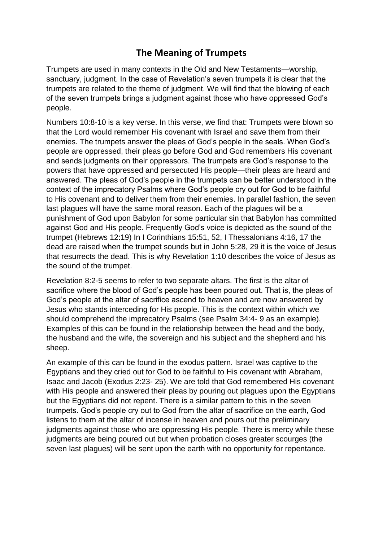## **The Meaning of Trumpets**

Trumpets are used in many contexts in the Old and New Testaments—worship, sanctuary, judgment. In the case of Revelation's seven trumpets it is clear that the trumpets are related to the theme of judgment. We will find that the blowing of each of the seven trumpets brings a judgment against those who have oppressed God's people.

Numbers 10:8-10 is a key verse. In this verse, we find that: Trumpets were blown so that the Lord would remember His covenant with Israel and save them from their enemies. The trumpets answer the pleas of God's people in the seals. When God's people are oppressed, their pleas go before God and God remembers His covenant and sends judgments on their oppressors. The trumpets are God's response to the powers that have oppressed and persecuted His people—their pleas are heard and answered. The pleas of God's people in the trumpets can be better understood in the context of the imprecatory Psalms where God's people cry out for God to be faithful to His covenant and to deliver them from their enemies. In parallel fashion, the seven last plagues will have the same moral reason. Each of the plagues will be a punishment of God upon Babylon for some particular sin that Babylon has committed against God and His people. Frequently God's voice is depicted as the sound of the trumpet (Hebrews 12:19) In I Corinthians 15:51, 52, I Thessalonians 4:16, 17 the dead are raised when the trumpet sounds but in John 5:28, 29 it is the voice of Jesus that resurrects the dead. This is why Revelation 1:10 describes the voice of Jesus as the sound of the trumpet.

Revelation 8:2-5 seems to refer to two separate altars. The first is the altar of sacrifice where the blood of God's people has been poured out. That is, the pleas of God's people at the altar of sacrifice ascend to heaven and are now answered by Jesus who stands interceding for His people. This is the context within which we should comprehend the imprecatory Psalms (see Psalm 34:4- 9 as an example). Examples of this can be found in the relationship between the head and the body, the husband and the wife, the sovereign and his subject and the shepherd and his sheep.

An example of this can be found in the exodus pattern. Israel was captive to the Egyptians and they cried out for God to be faithful to His covenant with Abraham, Isaac and Jacob (Exodus 2:23- 25). We are told that God remembered His covenant with His people and answered their pleas by pouring out plagues upon the Egyptians but the Egyptians did not repent. There is a similar pattern to this in the seven trumpets. God's people cry out to God from the altar of sacrifice on the earth, God listens to them at the altar of incense in heaven and pours out the preliminary judgments against those who are oppressing His people. There is mercy while these judgments are being poured out but when probation closes greater scourges (the seven last plagues) will be sent upon the earth with no opportunity for repentance.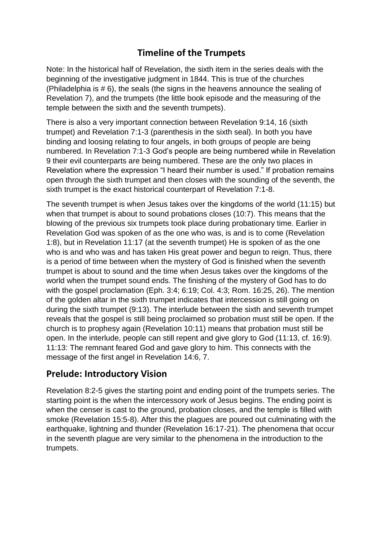## **Timeline of the Trumpets**

Note: In the historical half of Revelation, the sixth item in the series deals with the beginning of the investigative judgment in 1844. This is true of the churches (Philadelphia is # 6), the seals (the signs in the heavens announce the sealing of Revelation 7), and the trumpets (the little book episode and the measuring of the temple between the sixth and the seventh trumpets).

There is also a very important connection between Revelation 9:14, 16 (sixth trumpet) and Revelation 7:1-3 (parenthesis in the sixth seal). In both you have binding and loosing relating to four angels, in both groups of people are being numbered. In Revelation 7:1-3 God's people are being numbered while in Revelation 9 their evil counterparts are being numbered. These are the only two places in Revelation where the expression "I heard their number is used." If probation remains open through the sixth trumpet and then closes with the sounding of the seventh, the sixth trumpet is the exact historical counterpart of Revelation 7:1-8.

The seventh trumpet is when Jesus takes over the kingdoms of the world (11:15) but when that trumpet is about to sound probations closes (10:7). This means that the blowing of the previous six trumpets took place during probationary time. Earlier in Revelation God was spoken of as the one who was, is and is to come (Revelation 1:8), but in Revelation 11:17 (at the seventh trumpet) He is spoken of as the one who is and who was and has taken His great power and begun to reign. Thus, there is a period of time between when the mystery of God is finished when the seventh trumpet is about to sound and the time when Jesus takes over the kingdoms of the world when the trumpet sound ends. The finishing of the mystery of God has to do with the gospel proclamation (Eph. 3:4; 6:19; Col. 4:3; Rom. 16:25, 26). The mention of the golden altar in the sixth trumpet indicates that intercession is still going on during the sixth trumpet (9:13). The interlude between the sixth and seventh trumpet reveals that the gospel is still being proclaimed so probation must still be open. If the church is to prophesy again (Revelation 10:11) means that probation must still be open. In the interlude, people can still repent and give glory to God (11:13, cf. 16:9). 11:13: The remnant feared God and gave glory to him. This connects with the message of the first angel in Revelation 14:6, 7.

## **Prelude: Introductory Vision**

Revelation 8:2-5 gives the starting point and ending point of the trumpets series. The starting point is the when the intercessory work of Jesus begins. The ending point is when the censer is cast to the ground, probation closes, and the temple is filled with smoke (Revelation 15:5-8). After this the plagues are poured out culminating with the earthquake, lightning and thunder (Revelation 16:17-21). The phenomena that occur in the seventh plague are very similar to the phenomena in the introduction to the trumpets.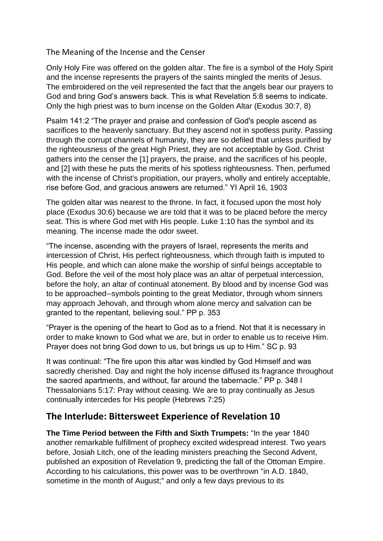The Meaning of the Incense and the Censer

Only Holy Fire was offered on the golden altar. The fire is a symbol of the Holy Spirit and the incense represents the prayers of the saints mingled the merits of Jesus. The embroidered on the veil represented the fact that the angels bear our prayers to God and bring God's answers back. This is what Revelation 5:8 seems to indicate. Only the high priest was to burn incense on the Golden Altar (Exodus 30:7, 8)

Psalm 141:2 "The prayer and praise and confession of God's people ascend as sacrifices to the heavenly sanctuary. But they ascend not in spotless purity. Passing through the corrupt channels of humanity, they are so defiled that unless purified by the righteousness of the great High Priest, they are not acceptable by God. Christ gathers into the censer the [1] prayers, the praise, and the sacrifices of his people, and [2] with these he puts the merits of his spotless righteousness. Then, perfumed with the incense of Christ's propitiation, our prayers, wholly and entirely acceptable, rise before God, and gracious answers are returned." YI April 16, 1903

The golden altar was nearest to the throne. In fact, it focused upon the most holy place (Exodus 30:6) because we are told that it was to be placed before the mercy seat. This is where God met with His people. Luke 1:10 has the symbol and its meaning. The incense made the odor sweet.

"The incense, ascending with the prayers of Israel, represents the merits and intercession of Christ, His perfect righteousness, which through faith is imputed to His people, and which can alone make the worship of sinful beings acceptable to God. Before the veil of the most holy place was an altar of perpetual intercession, before the holy, an altar of continual atonement. By blood and by incense God was to be approached--symbols pointing to the great Mediator, through whom sinners may approach Jehovah, and through whom alone mercy and salvation can be granted to the repentant, believing soul." PP p. 353

"Prayer is the opening of the heart to God as to a friend. Not that it is necessary in order to make known to God what we are, but in order to enable us to receive Him. Prayer does not bring God down to us, but brings us up to Him." SC p. 93

It was continual: "The fire upon this altar was kindled by God Himself and was sacredly cherished. Day and night the holy incense diffused its fragrance throughout the sacred apartments, and without, far around the tabernacle." PP p. 348 I Thessalonians 5:17: Pray without ceasing. We are to pray continually as Jesus continually intercedes for His people (Hebrews 7:25)

## **The Interlude: Bittersweet Experience of Revelation 10**

**The Time Period between the Fifth and Sixth Trumpets:** "In the year 1840 another remarkable fulfillment of prophecy excited widespread interest. Two years before, Josiah Litch, one of the leading ministers preaching the Second Advent, published an exposition of Revelation 9, predicting the fall of the Ottoman Empire. According to his calculations, this power was to be overthrown "in A.D. 1840, sometime in the month of August;" and only a few days previous to its